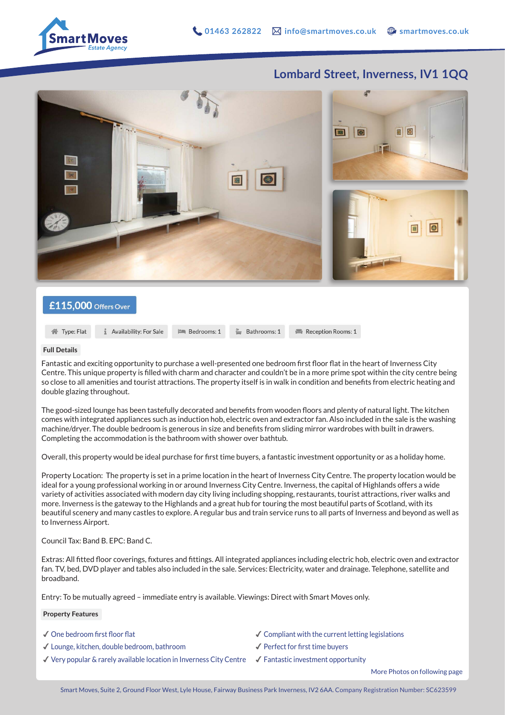

## **Lombard Street, Inverness, IV1 1QQ**



## £115,000 Offers Over

**1** Availability: For Sale **谷** Type: Flat

**Full Details**

Fantastic and exciting opportunity to purchase a well-presented one bedroom first floor flat in the heart of Inverness City Centre. This unique property is filled with charm and character and couldn't be in a more prime spot within the city centre being so close to all amenities and tourist attractions. The property itself is in walk in condition and benefits from electric heating and double glazing throughout.

Bathrooms: 1

The good-sized lounge has been tastefully decorated and benefits from wooden floors and plenty of natural light. The kitchen comes with integrated appliances such as induction hob, electric oven and extractor fan. Also included in the sale is the washing machine/dryer. The double bedroom is generous in size and benefits from sliding mirror wardrobes with built in drawers. Completing the accommodation is the bathroom with shower over bathtub.

Overall, this property would be ideal purchase for first time buyers, a fantastic investment opportunity or as a holiday home.

Property Location: The property is set in a prime location in the heart of Inverness City Centre. The property location would be ideal for a young professional working in or around Inverness City Centre. Inverness, the capital of Highlands offers a wide variety of activities associated with modern day city living including shopping, restaurants, tourist attractions, river walks and more. Inverness is the gateway to the Highlands and a great hub for touring the most beautiful parts of Scotland, with its beautiful scenery and many castles to explore. A regular bus and train service runs to all parts of Inverness and beyond as well as to Inverness Airport.

Council Tax: Band B. EPC: Band C.

Extras: All fitted floor coverings, fixtures and fittings. All integrated appliances including electric hob, electric oven and extractor fan. TV, bed, DVD player and tables also included in the sale. Services: Electricity, water and drainage. Telephone, satellite and broadband.

Entry: To be mutually agreed – immediate entry is available. Viewings: Direct with Smart Moves only.

**Em** Bedrooms: 1

**Property Features**

✔︎ One bedroom first floor flat

- ✔︎ Lounge, kitchen, double bedroom, bathroom
- $\blacktriangledown$  Very popular & rarely available location in Inverness City Centre  $\blacktriangledown$  Fantastic investment opportunity
- $\checkmark$  Compliant with the current letting legislations

Reception Rooms: 1

- ✔︎ Perfect for first time buyers
- 

More Photos on following page